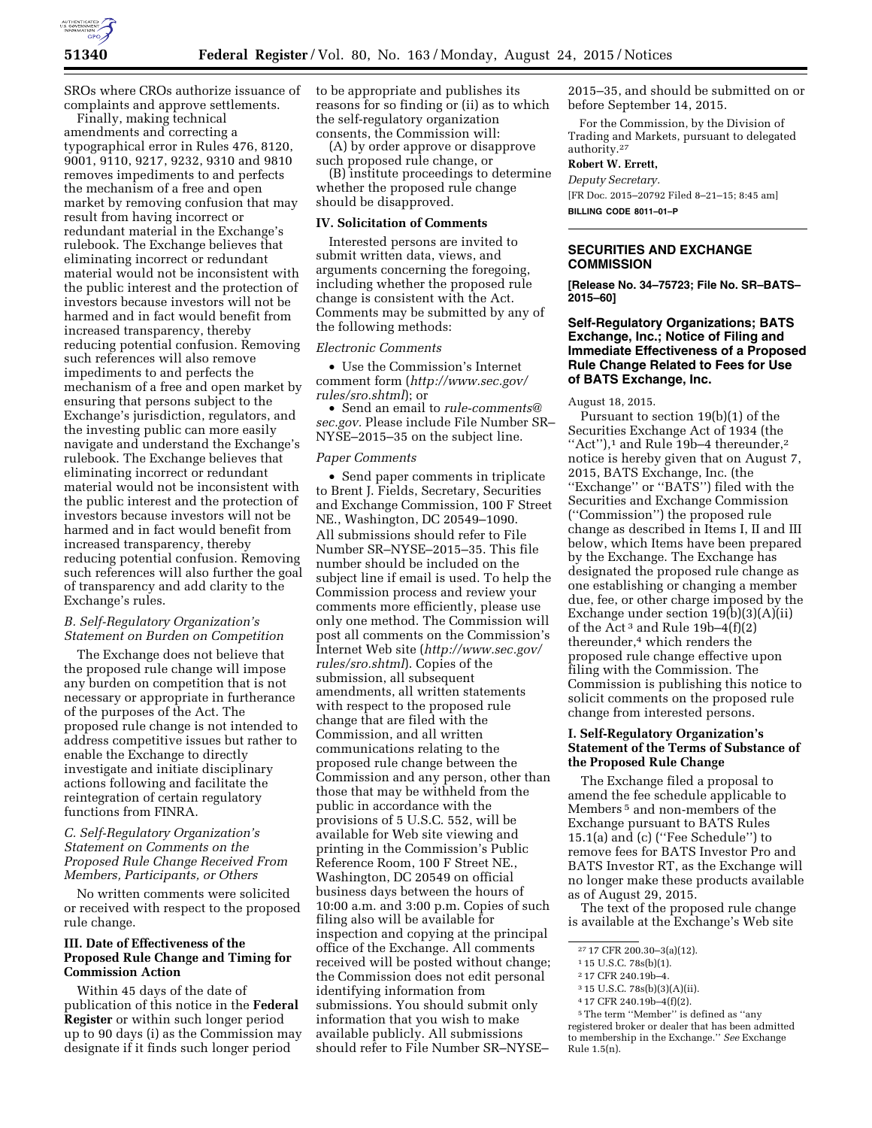

SROs where CROs authorize issuance of complaints and approve settlements.

Finally, making technical amendments and correcting a typographical error in Rules 476, 8120, 9001, 9110, 9217, 9232, 9310 and 9810 removes impediments to and perfects the mechanism of a free and open market by removing confusion that may result from having incorrect or redundant material in the Exchange's rulebook. The Exchange believes that eliminating incorrect or redundant material would not be inconsistent with the public interest and the protection of investors because investors will not be harmed and in fact would benefit from increased transparency, thereby reducing potential confusion. Removing such references will also remove impediments to and perfects the mechanism of a free and open market by ensuring that persons subject to the Exchange's jurisdiction, regulators, and the investing public can more easily navigate and understand the Exchange's rulebook. The Exchange believes that eliminating incorrect or redundant material would not be inconsistent with the public interest and the protection of investors because investors will not be harmed and in fact would benefit from increased transparency, thereby reducing potential confusion. Removing such references will also further the goal of transparency and add clarity to the Exchange's rules.

# *B. Self-Regulatory Organization's Statement on Burden on Competition*

The Exchange does not believe that the proposed rule change will impose any burden on competition that is not necessary or appropriate in furtherance of the purposes of the Act. The proposed rule change is not intended to address competitive issues but rather to enable the Exchange to directly investigate and initiate disciplinary actions following and facilitate the reintegration of certain regulatory functions from FINRA.

# *C. Self-Regulatory Organization's Statement on Comments on the Proposed Rule Change Received From Members, Participants, or Others*

No written comments were solicited or received with respect to the proposed rule change.

## **III. Date of Effectiveness of the Proposed Rule Change and Timing for Commission Action**

Within 45 days of the date of publication of this notice in the **Federal Register** or within such longer period up to 90 days (i) as the Commission may designate if it finds such longer period

to be appropriate and publishes its reasons for so finding or (ii) as to which the self-regulatory organization consents, the Commission will:

(A) by order approve or disapprove such proposed rule change, or

(B) institute proceedings to determine whether the proposed rule change should be disapproved.

## **IV. Solicitation of Comments**

Interested persons are invited to submit written data, views, and arguments concerning the foregoing, including whether the proposed rule change is consistent with the Act. Comments may be submitted by any of the following methods:

#### *Electronic Comments*

• Use the Commission's Internet comment form (*[http://www.sec.gov/](http://www.sec.gov/rules/sro.shtml) [rules/sro.shtml](http://www.sec.gov/rules/sro.shtml)*); or

• Send an email to *[rule-comments@](mailto:rule-comments@sec.gov) [sec.gov.](mailto:rule-comments@sec.gov)* Please include File Number SR– NYSE–2015–35 on the subject line.

#### *Paper Comments*

• Send paper comments in triplicate to Brent J. Fields, Secretary, Securities and Exchange Commission, 100 F Street NE., Washington, DC 20549–1090. All submissions should refer to File Number SR–NYSE–2015–35. This file number should be included on the subject line if email is used. To help the Commission process and review your comments more efficiently, please use only one method. The Commission will post all comments on the Commission's Internet Web site (*[http://www.sec.gov/](http://www.sec.gov/rules/sro.shtml) [rules/sro.shtml](http://www.sec.gov/rules/sro.shtml)*). Copies of the submission, all subsequent amendments, all written statements with respect to the proposed rule change that are filed with the Commission, and all written communications relating to the proposed rule change between the Commission and any person, other than those that may be withheld from the public in accordance with the provisions of 5 U.S.C. 552, will be available for Web site viewing and printing in the Commission's Public Reference Room, 100 F Street NE., Washington, DC 20549 on official business days between the hours of 10:00 a.m. and 3:00 p.m. Copies of such filing also will be available for inspection and copying at the principal office of the Exchange. All comments received will be posted without change; the Commission does not edit personal identifying information from submissions. You should submit only information that you wish to make available publicly. All submissions should refer to File Number SR–NYSE–

2015–35, and should be submitted on or before September 14, 2015.

For the Commission, by the Division of Trading and Markets, pursuant to delegated authority.27

# **Robert W. Errett,**

*Deputy Secretary.* 

[FR Doc. 2015–20792 Filed 8–21–15; 8:45 am] **BILLING CODE 8011–01–P** 

# **SECURITIES AND EXCHANGE COMMISSION**

**[Release No. 34–75723; File No. SR–BATS– 2015–60]** 

# **Self-Regulatory Organizations; BATS Exchange, Inc.; Notice of Filing and Immediate Effectiveness of a Proposed Rule Change Related to Fees for Use of BATS Exchange, Inc.**

August 18, 2015.

Pursuant to section 19(b)(1) of the Securities Exchange Act of 1934 (the "Act"),<sup>1</sup> and Rule 19b-4 thereunder,<sup>2</sup> notice is hereby given that on August 7, 2015, BATS Exchange, Inc. (the ''Exchange'' or ''BATS'') filed with the Securities and Exchange Commission (''Commission'') the proposed rule change as described in Items I, II and III below, which Items have been prepared by the Exchange. The Exchange has designated the proposed rule change as one establishing or changing a member due, fee, or other charge imposed by the Exchange under section  $19(b)(3)(A)(ii)$ of the Act<sup>3</sup> and Rule 19b-4(f)(2) thereunder,4 which renders the proposed rule change effective upon filing with the Commission. The Commission is publishing this notice to solicit comments on the proposed rule change from interested persons.

### **I. Self-Regulatory Organization's Statement of the Terms of Substance of the Proposed Rule Change**

The Exchange filed a proposal to amend the fee schedule applicable to Members 5 and non-members of the Exchange pursuant to BATS Rules 15.1(a) and (c) (''Fee Schedule'') to remove fees for BATS Investor Pro and BATS Investor RT, as the Exchange will no longer make these products available as of August 29, 2015.

The text of the proposed rule change is available at the Exchange's Web site

- 1 15 U.S.C. 78s(b)(1).
- 2 17 CFR 240.19b–4.
- 3 15 U.S.C. 78s(b)(3)(A)(ii).
- 4 17 CFR 240.19b–4(f)(2).

<sup>27</sup> 17 CFR 200.30–3(a)(12).

<sup>5</sup>The term ''Member'' is defined as ''any registered broker or dealer that has been admitted to membership in the Exchange.'' *See* Exchange Rule 1.5(n).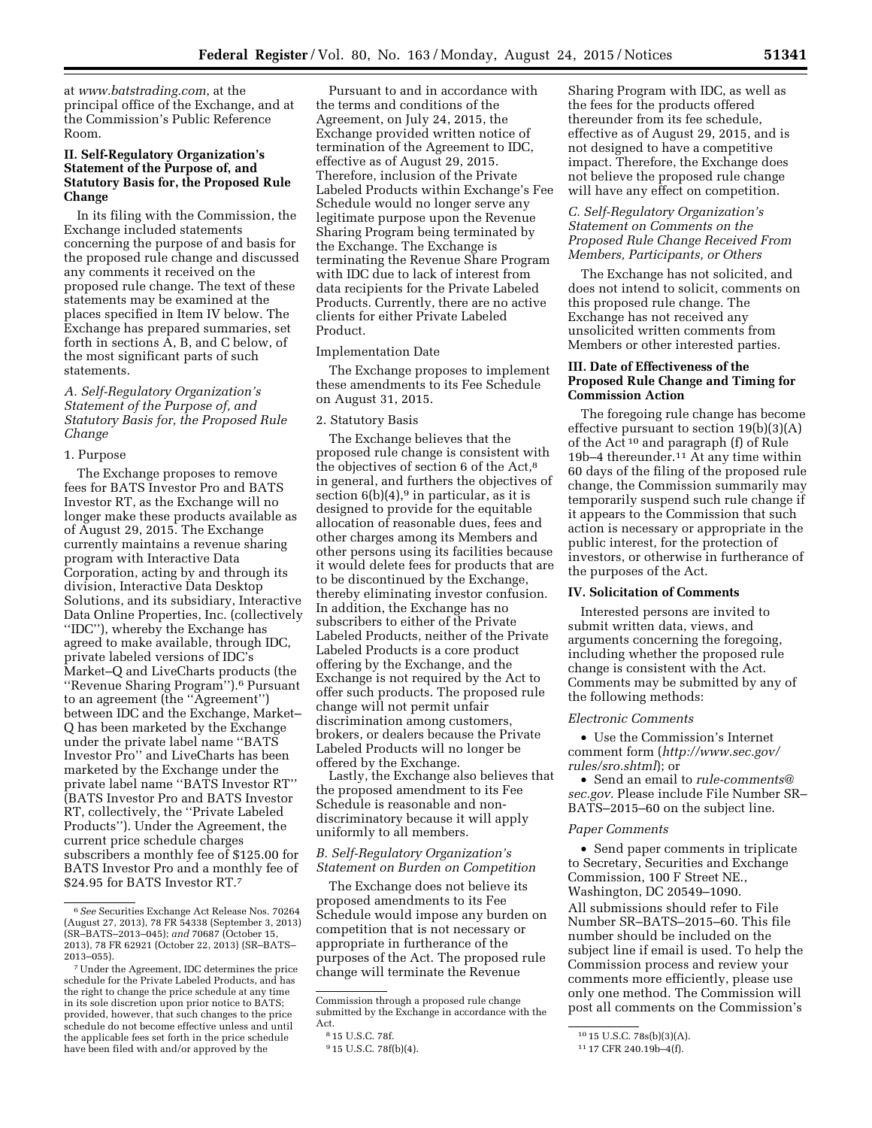at *[www.batstrading.com](http://www.batstrading.com)*, at the principal office of the Exchange, and at the Commission's Public Reference Room.

# **II. Self-Regulatory Organization's Statement of the Purpose of, and Statutory Basis for, the Proposed Rule Change**

In its filing with the Commission, the Exchange included statements concerning the purpose of and basis for the proposed rule change and discussed any comments it received on the proposed rule change. The text of these statements may be examined at the places specified in Item IV below. The Exchange has prepared summaries, set forth in sections A, B, and C below, of the most significant parts of such statements.

*A. Self-Regulatory Organization's Statement of the Purpose of, and Statutory Basis for, the Proposed Rule Change* 

#### 1. Purpose

The Exchange proposes to remove fees for BATS Investor Pro and BATS Investor RT, as the Exchange will no longer make these products available as of August 29, 2015. The Exchange currently maintains a revenue sharing program with Interactive Data Corporation, acting by and through its division, Interactive Data Desktop Solutions, and its subsidiary, Interactive Data Online Properties, Inc. (collectively ''IDC''), whereby the Exchange has agreed to make available, through IDC, private labeled versions of IDC's Market–Q and LiveCharts products (the ''Revenue Sharing Program'').6 Pursuant to an agreement (the ''Agreement'') between IDC and the Exchange, Market– Q has been marketed by the Exchange under the private label name ''BATS Investor Pro'' and LiveCharts has been marketed by the Exchange under the private label name ''BATS Investor RT'' (BATS Investor Pro and BATS Investor RT, collectively, the ''Private Labeled Products''). Under the Agreement, the current price schedule charges subscribers a monthly fee of \$125.00 for BATS Investor Pro and a monthly fee of \$24.95 for BATS Investor RT.7

Pursuant to and in accordance with the terms and conditions of the Agreement, on July 24, 2015, the Exchange provided written notice of termination of the Agreement to IDC, effective as of August 29, 2015. Therefore, inclusion of the Private Labeled Products within Exchange's Fee Schedule would no longer serve any legitimate purpose upon the Revenue Sharing Program being terminated by the Exchange. The Exchange is terminating the Revenue Share Program with IDC due to lack of interest from data recipients for the Private Labeled Products. Currently, there are no active clients for either Private Labeled Product.

### Implementation Date

The Exchange proposes to implement these amendments to its Fee Schedule on August 31, 2015.

### 2. Statutory Basis

The Exchange believes that the proposed rule change is consistent with the objectives of section 6 of the Act,<sup>8</sup> in general, and furthers the objectives of section  $6(b)(4)$ ,<sup>9</sup> in particular, as it is designed to provide for the equitable allocation of reasonable dues, fees and other charges among its Members and other persons using its facilities because it would delete fees for products that are to be discontinued by the Exchange, thereby eliminating investor confusion. In addition, the Exchange has no subscribers to either of the Private Labeled Products, neither of the Private Labeled Products is a core product offering by the Exchange, and the Exchange is not required by the Act to offer such products. The proposed rule change will not permit unfair discrimination among customers, brokers, or dealers because the Private Labeled Products will no longer be offered by the Exchange.

Lastly, the Exchange also believes that the proposed amendment to its Fee Schedule is reasonable and nondiscriminatory because it will apply uniformly to all members.

### *B. Self-Regulatory Organization's Statement on Burden on Competition*

The Exchange does not believe its proposed amendments to its Fee Schedule would impose any burden on competition that is not necessary or appropriate in furtherance of the purposes of the Act. The proposed rule change will terminate the Revenue

Sharing Program with IDC, as well as the fees for the products offered thereunder from its fee schedule, effective as of August 29, 2015, and is not designed to have a competitive impact. Therefore, the Exchange does not believe the proposed rule change will have any effect on competition.

# *C. Self-Regulatory Organization's Statement on Comments on the Proposed Rule Change Received From Members, Participants, or Others*

The Exchange has not solicited, and does not intend to solicit, comments on this proposed rule change. The Exchange has not received any unsolicited written comments from Members or other interested parties.

# **III. Date of Effectiveness of the Proposed Rule Change and Timing for Commission Action**

The foregoing rule change has become effective pursuant to section 19(b)(3)(A) of the Act 10 and paragraph (f) of Rule 19b–4 thereunder.11 At any time within 60 days of the filing of the proposed rule change, the Commission summarily may temporarily suspend such rule change if it appears to the Commission that such action is necessary or appropriate in the public interest, for the protection of investors, or otherwise in furtherance of the purposes of the Act.

### **IV. Solicitation of Comments**

Interested persons are invited to submit written data, views, and arguments concerning the foregoing, including whether the proposed rule change is consistent with the Act. Comments may be submitted by any of the following methods:

#### *Electronic Comments*

• Use the Commission's Internet comment form (*[http://www.sec.gov/](http://www.sec.gov/rules/sro.shtml) [rules/sro.shtml](http://www.sec.gov/rules/sro.shtml)*); or

• Send an email to *[rule-comments@](mailto:rule-comments@sec.gov) [sec.gov.](mailto:rule-comments@sec.gov)* Please include File Number SR– BATS–2015–60 on the subject line.

#### *Paper Comments*

• Send paper comments in triplicate to Secretary, Securities and Exchange Commission, 100 F Street NE., Washington, DC 20549–1090. All submissions should refer to File Number SR–BATS–2015–60. This file number should be included on the subject line if email is used. To help the Commission process and review your comments more efficiently, please use only one method. The Commission will post all comments on the Commission's

<sup>6</sup>*See* Securities Exchange Act Release Nos. 70264 (August 27, 2013), 78 FR 54338 (September 3, 2013) (SR–BATS–2013–045); *and* 70687 (October 15, 2013), 78 FR 62921 (October 22, 2013) (SR–BATS– 2013–055).

<sup>7</sup>Under the Agreement, IDC determines the price schedule for the Private Labeled Products, and has the right to change the price schedule at any time in its sole discretion upon prior notice to BATS; provided, however, that such changes to the price schedule do not become effective unless and until the applicable fees set forth in the price schedule have been filed with and/or approved by the

Commission through a proposed rule change submitted by the Exchange in accordance with the Act.

<sup>8</sup> 15 U.S.C. 78f.

<sup>9</sup> 15 U.S.C. 78f(b)(4).

<sup>10</sup> 15 U.S.C. 78s(b)(3)(A).

<sup>11</sup> 17 CFR 240.19b–4(f).